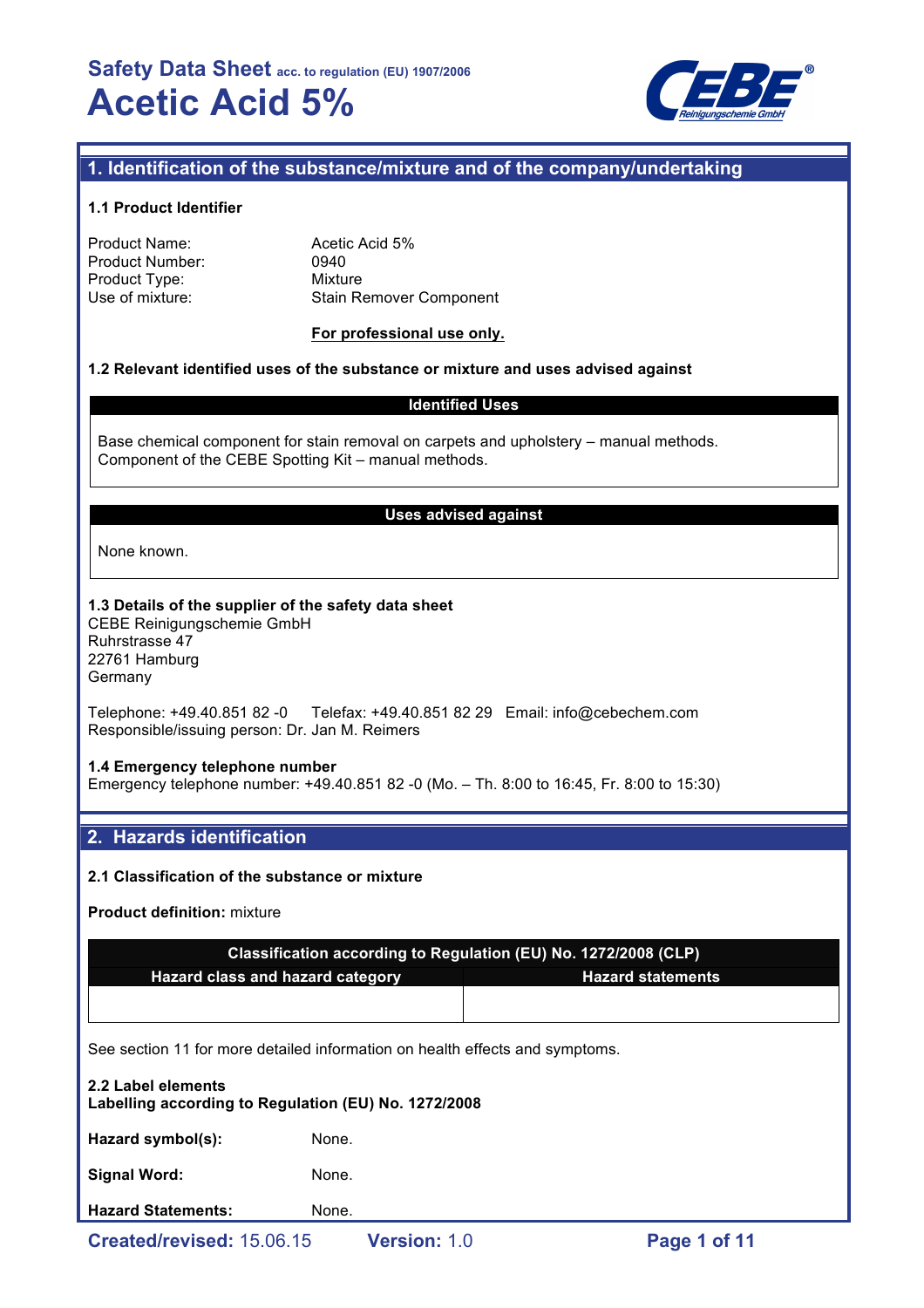

## **1. Identification of the substance/mixture and of the company/undertaking**

### **1.1 Product Identifier**

| Product Name:          |  |
|------------------------|--|
| <b>Product Number:</b> |  |
| Product Type:          |  |
| Use of mixture:        |  |

Acetic Acid 5% 0940 **Mixture** Stain Remover Component

### **For professional use only.**

### **1.2 Relevant identified uses of the substance or mixture and uses advised against**

## **Identified Uses**

Base chemical component for stain removal on carpets and upholstery – manual methods. Component of the CEBE Spotting Kit – manual methods.

#### **Uses advised against**

None known.

#### **1.3 Details of the supplier of the safety data sheet**

CEBE Reinigungschemie GmbH Ruhrstrasse 47 22761 Hamburg Germany

Telephone: +49.40.851 82 -0 Telefax: +49.40.851 82 29 Email: info@cebechem.com Responsible/issuing person: Dr. Jan M. Reimers

#### **1.4 Emergency telephone number**

Emergency telephone number: +49.40.851 82 -0 (Mo. – Th. 8:00 to 16:45, Fr. 8:00 to 15:30)

## **2. Hazards identification**

### **2.1 Classification of the substance or mixture**

**Product definition:** mixture

| Classification according to Regulation (EU) No. 1272/2008 (CLP) |  |  |  |  |
|-----------------------------------------------------------------|--|--|--|--|
| <b>Hazard statements</b><br>Hazard class and hazard category    |  |  |  |  |
|                                                                 |  |  |  |  |
|                                                                 |  |  |  |  |

See section 11 for more detailed information on health effects and symptoms.

# **2.2 Label elements Labelling according to Regulation (EU) No. 1272/2008** Hazard symbol(s): None. Signal Word: None. **Hazard Statements:** None.

**Created/revised:** 15.06.15 **Version:** 1.0 **Page 1 of 11**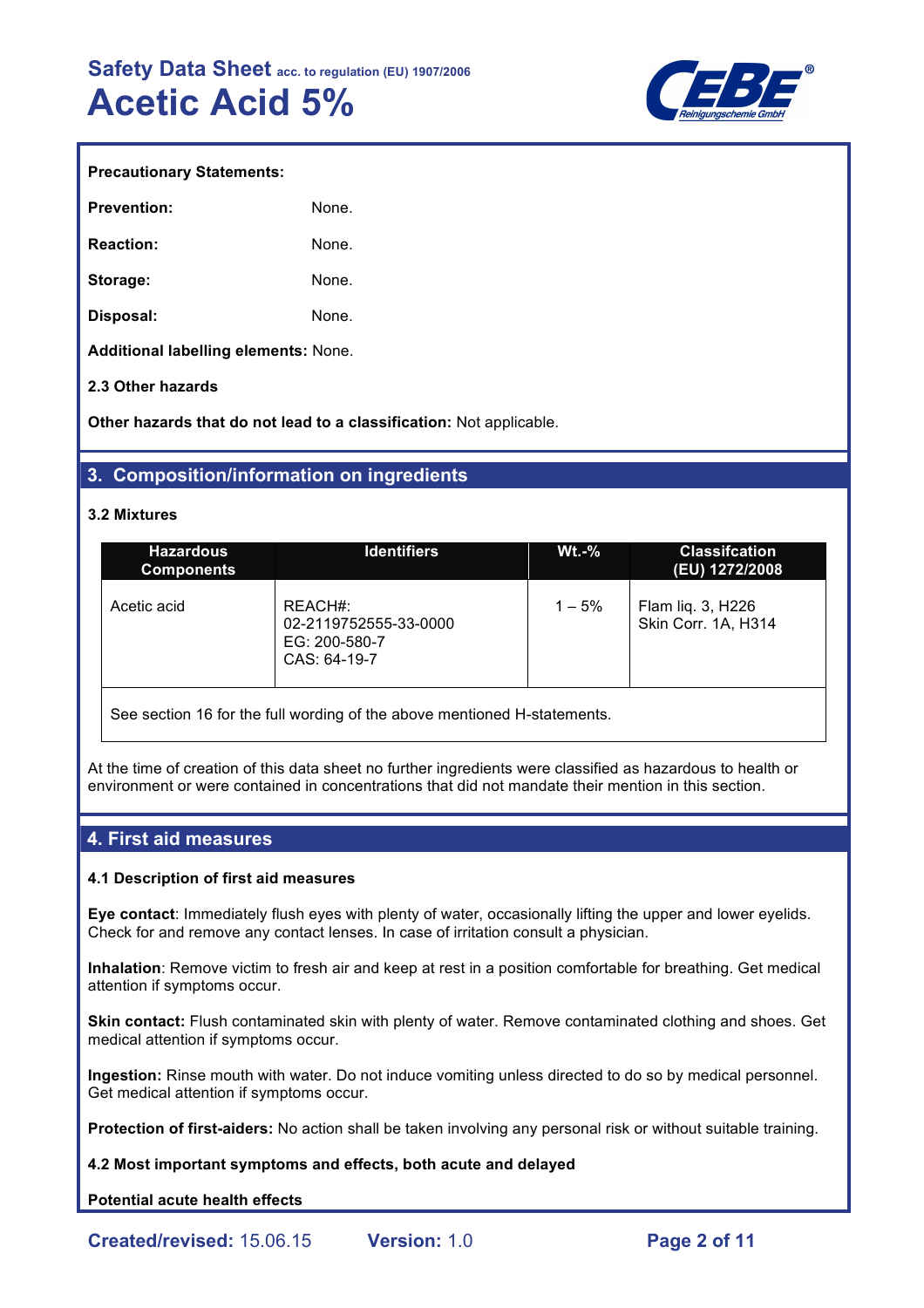

| <b>Prevention:</b> | None. |
|--------------------|-------|
| <b>Reaction:</b>   | None. |
| Storage:           | None. |
| Disposal:          | None. |

**Additional labelling elements:** None.

## **2.3 Other hazards**

**Other hazards that do not lead to a classification:** Not applicable.

## **3. Composition/information on ingredients**

#### **3.2 Mixtures**

| <b>Hazardous</b><br><b>Components</b>                                    | <b>Identifiers</b>                                                | $Wt.-%$   | <b>Classification</b><br>(EU) 1272/2008  |  |  |
|--------------------------------------------------------------------------|-------------------------------------------------------------------|-----------|------------------------------------------|--|--|
| Acetic acid                                                              | REACH#:<br>02-2119752555-33-0000<br>EG: 200-580-7<br>CAS: 64-19-7 | $1 - 5\%$ | Flam liq. 3, H226<br>Skin Corr. 1A, H314 |  |  |
| See section 16 for the full wording of the above mentioned H-statements. |                                                                   |           |                                          |  |  |

At the time of creation of this data sheet no further ingredients were classified as hazardous to health or environment or were contained in concentrations that did not mandate their mention in this section.

## **4. First aid measures**

### **4.1 Description of first aid measures**

**Eye contact**: Immediately flush eyes with plenty of water, occasionally lifting the upper and lower eyelids. Check for and remove any contact lenses. In case of irritation consult a physician.

**Inhalation**: Remove victim to fresh air and keep at rest in a position comfortable for breathing. Get medical attention if symptoms occur.

**Skin contact:** Flush contaminated skin with plenty of water. Remove contaminated clothing and shoes. Get medical attention if symptoms occur.

**Ingestion:** Rinse mouth with water. Do not induce vomiting unless directed to do so by medical personnel. Get medical attention if symptoms occur.

**Protection of first-aiders:** No action shall be taken involving any personal risk or without suitable training.

**4.2 Most important symptoms and effects, both acute and delayed**

## **Potential acute health effects**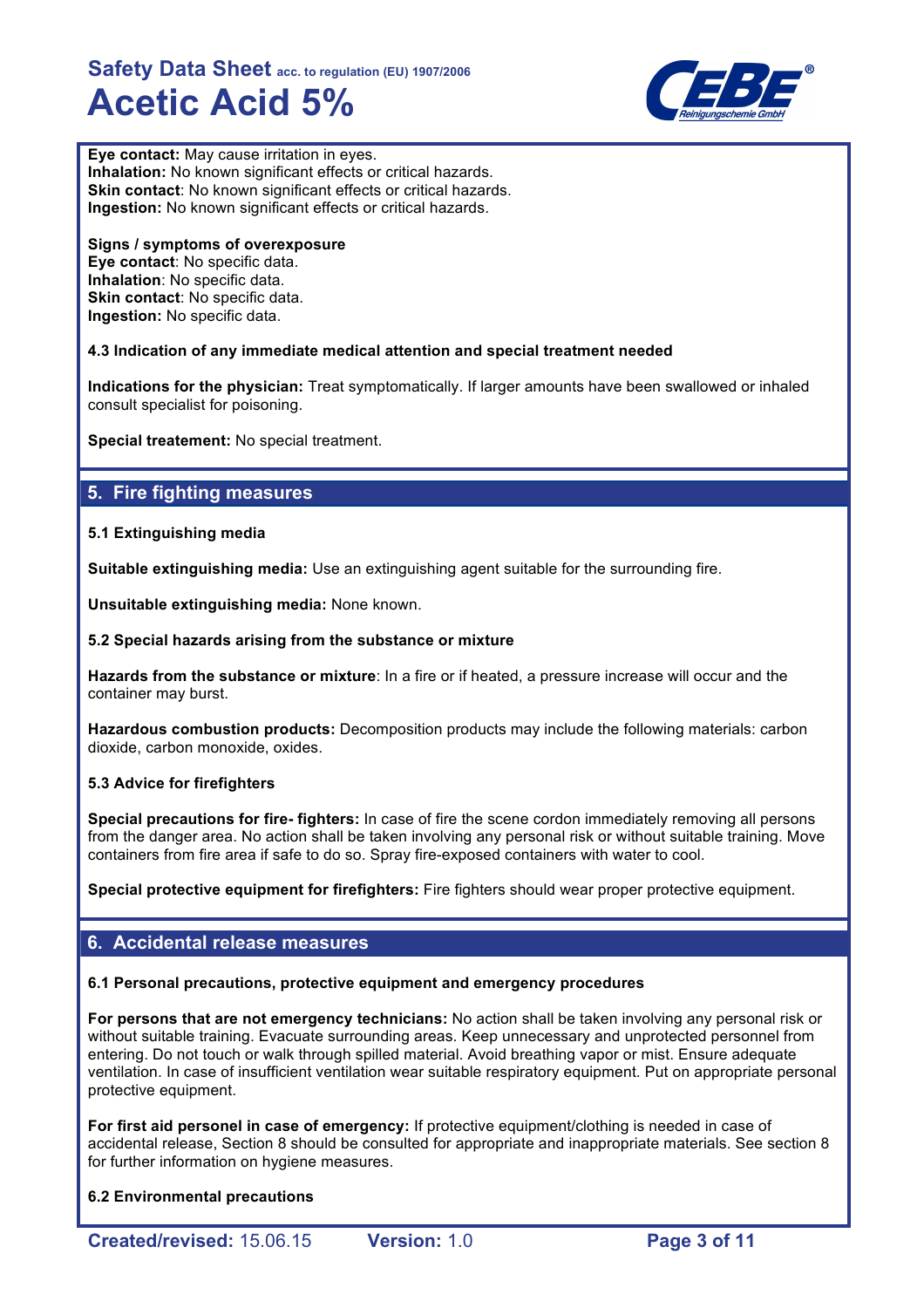

**Eye contact:** May cause irritation in eyes. **Inhalation:** No known significant effects or critical hazards. **Skin contact**: No known significant effects or critical hazards. **Ingestion:** No known significant effects or critical hazards.

**Signs / symptoms of overexposure Eye contact**: No specific data. **Inhalation**: No specific data. **Skin contact**: No specific data. **Ingestion:** No specific data.

## **4.3 Indication of any immediate medical attention and special treatment needed**

**Indications for the physician:** Treat symptomatically. If larger amounts have been swallowed or inhaled consult specialist for poisoning.

**Special treatement:** No special treatment.

# **5. Fire fighting measures**

## **5.1 Extinguishing media**

**Suitable extinguishing media:** Use an extinguishing agent suitable for the surrounding fire.

**Unsuitable extinguishing media:** None known.

### **5.2 Special hazards arising from the substance or mixture**

**Hazards from the substance or mixture**: In a fire or if heated, a pressure increase will occur and the container may burst.

**Hazardous combustion products:** Decomposition products may include the following materials: carbon dioxide, carbon monoxide, oxides.

## **5.3 Advice for firefighters**

**Special precautions for fire- fighters:** In case of fire the scene cordon immediately removing all persons from the danger area. No action shall be taken involving any personal risk or without suitable training. Move containers from fire area if safe to do so. Spray fire-exposed containers with water to cool.

**Special protective equipment for firefighters:** Fire fighters should wear proper protective equipment.

## **6. Accidental release measures**

#### **6.1 Personal precautions, protective equipment and emergency procedures**

**For persons that are not emergency technicians:** No action shall be taken involving any personal risk or without suitable training. Evacuate surrounding areas. Keep unnecessary and unprotected personnel from entering. Do not touch or walk through spilled material. Avoid breathing vapor or mist. Ensure adequate ventilation. In case of insufficient ventilation wear suitable respiratory equipment. Put on appropriate personal protective equipment.

**For first aid personel in case of emergency:** If protective equipment/clothing is needed in case of accidental release, Section 8 should be consulted for appropriate and inappropriate materials. See section 8 for further information on hygiene measures.

**6.2 Environmental precautions**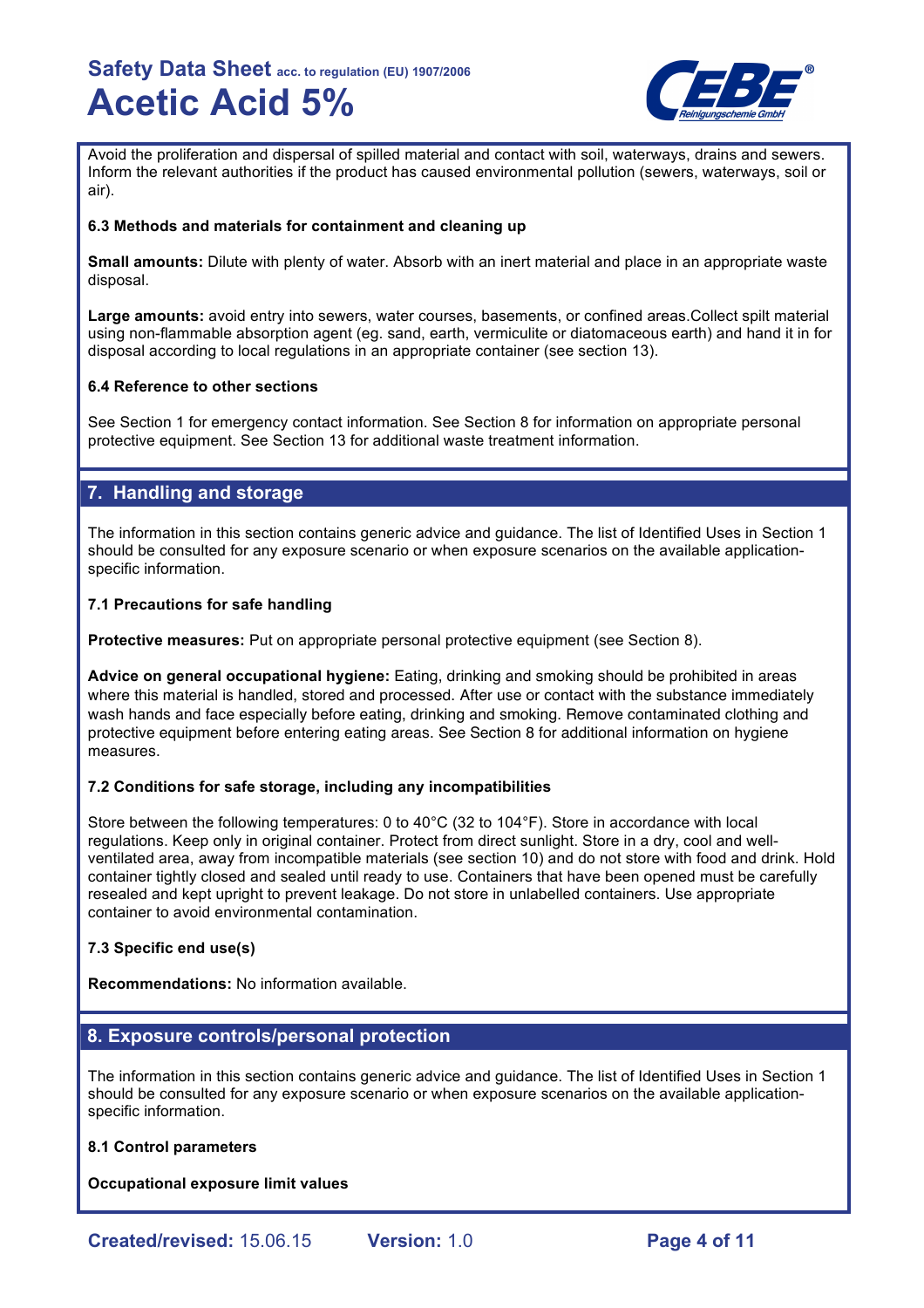

Avoid the proliferation and dispersal of spilled material and contact with soil, waterways, drains and sewers. Inform the relevant authorities if the product has caused environmental pollution (sewers, waterways, soil or air).

### **6.3 Methods and materials for containment and cleaning up**

**Small amounts:** Dilute with plenty of water. Absorb with an inert material and place in an appropriate waste disposal.

**Large amounts:** avoid entry into sewers, water courses, basements, or confined areas.Collect spilt material using non-flammable absorption agent (eg. sand, earth, vermiculite or diatomaceous earth) and hand it in for disposal according to local regulations in an appropriate container (see section 13).

### **6.4 Reference to other sections**

See Section 1 for emergency contact information. See Section 8 for information on appropriate personal protective equipment. See Section 13 for additional waste treatment information.

## **7. Handling and storage**

The information in this section contains generic advice and guidance. The list of Identified Uses in Section 1 should be consulted for any exposure scenario or when exposure scenarios on the available applicationspecific information.

## **7.1 Precautions for safe handling**

**Protective measures:** Put on appropriate personal protective equipment (see Section 8).

**Advice on general occupational hygiene:** Eating, drinking and smoking should be prohibited in areas where this material is handled, stored and processed. After use or contact with the substance immediately wash hands and face especially before eating, drinking and smoking. Remove contaminated clothing and protective equipment before entering eating areas. See Section 8 for additional information on hygiene measures.

## **7.2 Conditions for safe storage, including any incompatibilities**

Store between the following temperatures: 0 to 40°C (32 to 104°F). Store in accordance with local regulations. Keep only in original container. Protect from direct sunlight. Store in a dry, cool and wellventilated area, away from incompatible materials (see section 10) and do not store with food and drink. Hold container tightly closed and sealed until ready to use. Containers that have been opened must be carefully resealed and kept upright to prevent leakage. Do not store in unlabelled containers. Use appropriate container to avoid environmental contamination.

## **7.3 Specific end use(s)**

**Recommendations:** No information available.

## **8. Exposure controls/personal protection**

The information in this section contains generic advice and guidance. The list of Identified Uses in Section 1 should be consulted for any exposure scenario or when exposure scenarios on the available applicationspecific information.

## **8.1 Control parameters**

**Occupational exposure limit values**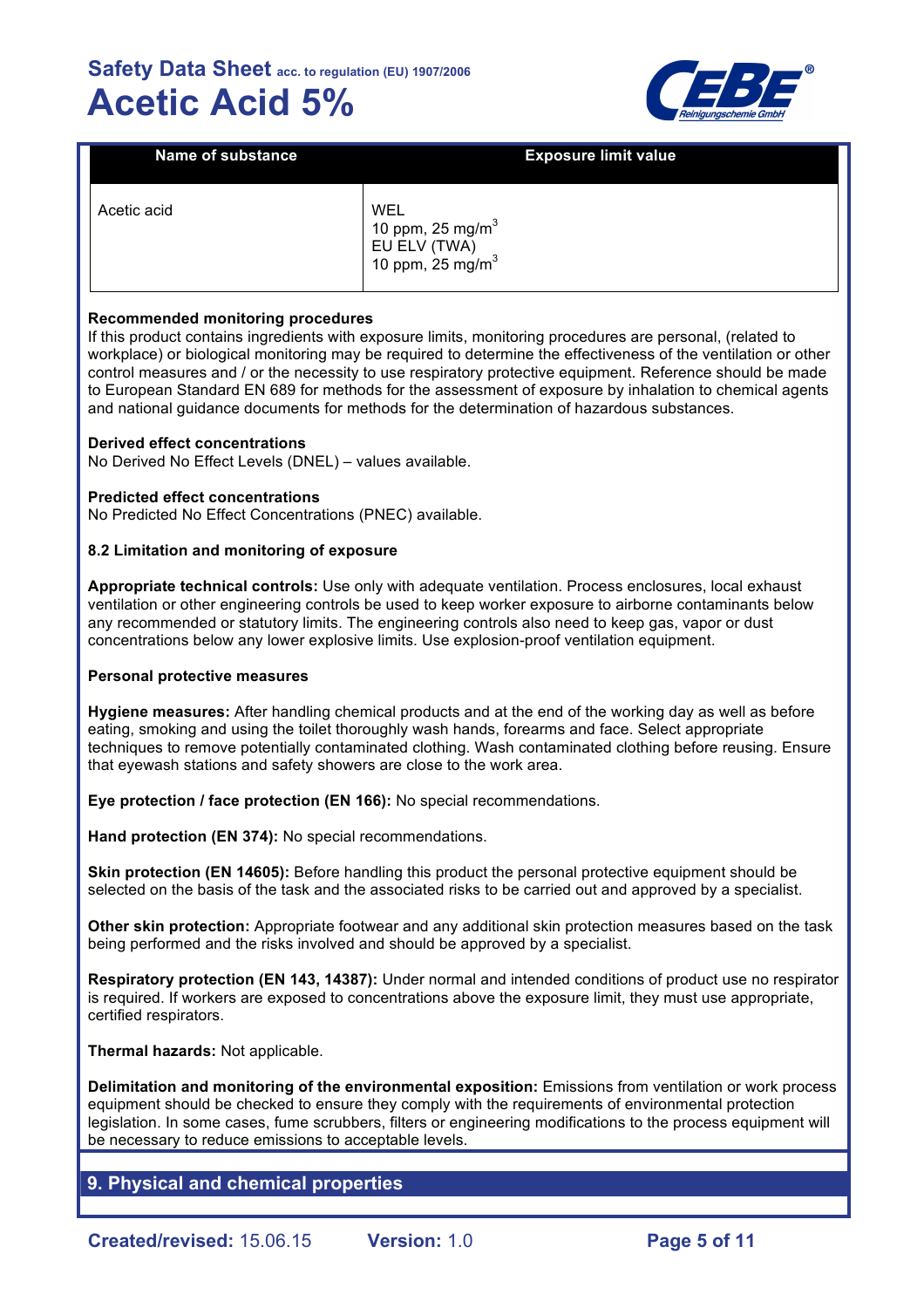

| <b>Name of substance</b> | <b>Exposure limit value</b>                                                        |
|--------------------------|------------------------------------------------------------------------------------|
| Acetic acid              | WEL<br>10 ppm, 25 mg/m <sup>3</sup><br>EU ELV (TWA)<br>10 ppm, $25 \text{ mg/m}^3$ |

### **Recommended monitoring procedures**

If this product contains ingredients with exposure limits, monitoring procedures are personal, (related to workplace) or biological monitoring may be required to determine the effectiveness of the ventilation or other control measures and / or the necessity to use respiratory protective equipment. Reference should be made to European Standard EN 689 for methods for the assessment of exposure by inhalation to chemical agents and national guidance documents for methods for the determination of hazardous substances.

#### **Derived effect concentrations**

No Derived No Effect Levels (DNEL) – values available.

#### **Predicted effect concentrations**

No Predicted No Effect Concentrations (PNEC) available.

#### **8.2 Limitation and monitoring of exposure**

**Appropriate technical controls:** Use only with adequate ventilation. Process enclosures, local exhaust ventilation or other engineering controls be used to keep worker exposure to airborne contaminants below any recommended or statutory limits. The engineering controls also need to keep gas, vapor or dust concentrations below any lower explosive limits. Use explosion-proof ventilation equipment.

#### **Personal protective measures**

**Hygiene measures:** After handling chemical products and at the end of the working day as well as before eating, smoking and using the toilet thoroughly wash hands, forearms and face. Select appropriate techniques to remove potentially contaminated clothing. Wash contaminated clothing before reusing. Ensure that eyewash stations and safety showers are close to the work area.

**Eye protection / face protection (EN 166):** No special recommendations.

**Hand protection (EN 374):** No special recommendations.

**Skin protection (EN 14605):** Before handling this product the personal protective equipment should be selected on the basis of the task and the associated risks to be carried out and approved by a specialist.

**Other skin protection:** Appropriate footwear and any additional skin protection measures based on the task being performed and the risks involved and should be approved by a specialist.

**Respiratory protection (EN 143, 14387):** Under normal and intended conditions of product use no respirator is required. If workers are exposed to concentrations above the exposure limit, they must use appropriate, certified respirators.

**Thermal hazards:** Not applicable.

**Delimitation and monitoring of the environmental exposition:** Emissions from ventilation or work process equipment should be checked to ensure they comply with the requirements of environmental protection legislation. In some cases, fume scrubbers, filters or engineering modifications to the process equipment will be necessary to reduce emissions to acceptable levels.

## **9. Physical and chemical properties**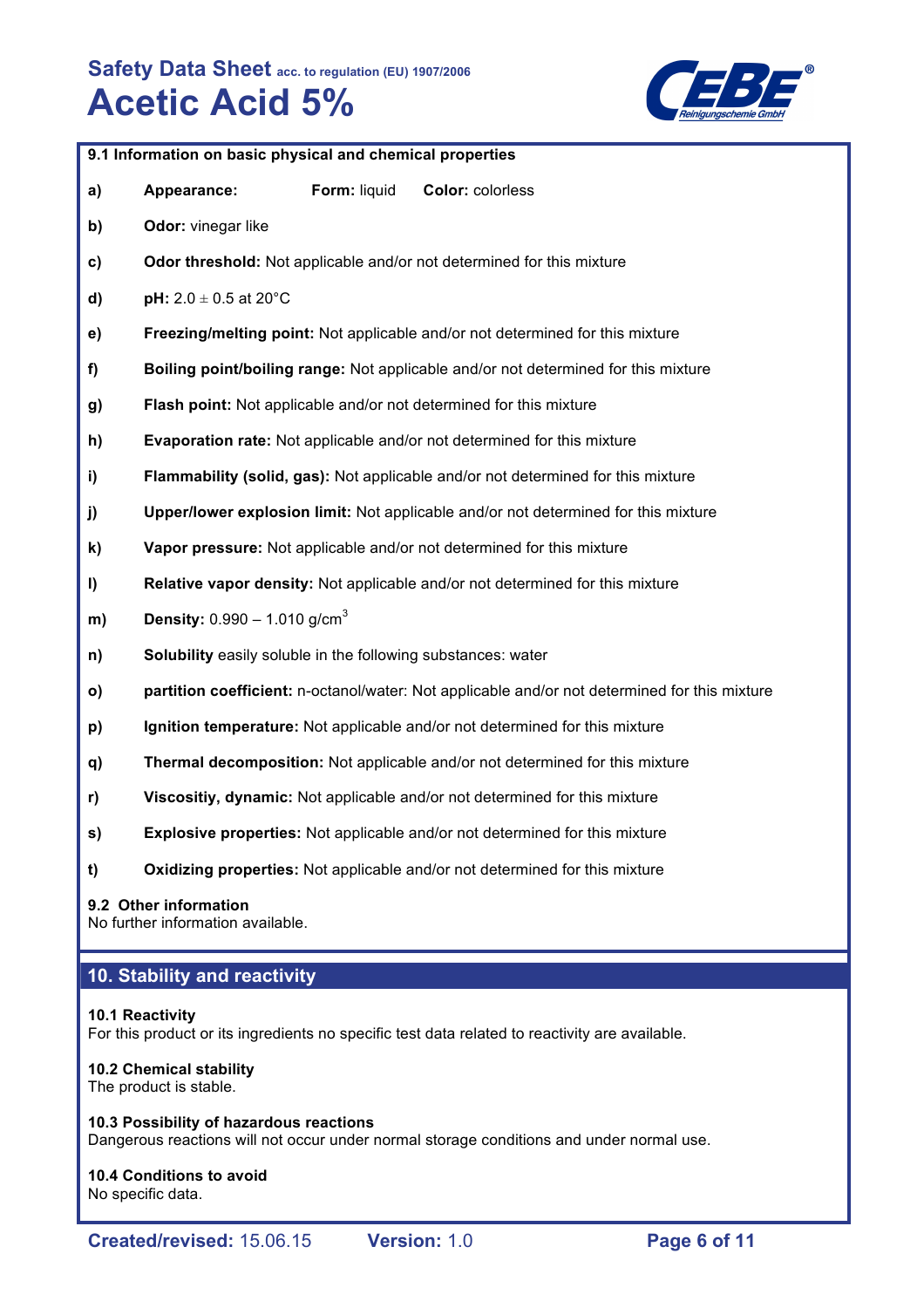

|         | 9.1 Information on basic physical and chemical properties    |              |                                                                                               |  |  |
|---------|--------------------------------------------------------------|--------------|-----------------------------------------------------------------------------------------------|--|--|
| a)      | Appearance:                                                  | Form: liquid | Color: colorless                                                                              |  |  |
| b)      | Odor: vinegar like                                           |              |                                                                                               |  |  |
| C)      |                                                              |              | Odor threshold: Not applicable and/or not determined for this mixture                         |  |  |
| d)      | pH: $2.0 \pm 0.5$ at 20°C                                    |              |                                                                                               |  |  |
| e)      |                                                              |              | Freezing/melting point: Not applicable and/or not determined for this mixture                 |  |  |
| f)      |                                                              |              | Boiling point/boiling range: Not applicable and/or not determined for this mixture            |  |  |
| g)      |                                                              |              | Flash point: Not applicable and/or not determined for this mixture                            |  |  |
| h)      |                                                              |              | Evaporation rate: Not applicable and/or not determined for this mixture                       |  |  |
| i)      |                                                              |              | Flammability (solid, gas): Not applicable and/or not determined for this mixture              |  |  |
| j)      |                                                              |              | Upper/lower explosion limit: Not applicable and/or not determined for this mixture            |  |  |
| k)      |                                                              |              | Vapor pressure: Not applicable and/or not determined for this mixture                         |  |  |
| $\vert$ |                                                              |              | Relative vapor density: Not applicable and/or not determined for this mixture                 |  |  |
| m)      | <b>Density:</b> $0.990 - 1.010$ g/cm <sup>3</sup>            |              |                                                                                               |  |  |
| n)      | Solubility easily soluble in the following substances: water |              |                                                                                               |  |  |
| o)      |                                                              |              | partition coefficient: n-octanol/water: Not applicable and/or not determined for this mixture |  |  |
| p)      |                                                              |              | Ignition temperature: Not applicable and/or not determined for this mixture                   |  |  |
| q)      |                                                              |              | Thermal decomposition: Not applicable and/or not determined for this mixture                  |  |  |
| r)      |                                                              |              | Viscositiy, dynamic: Not applicable and/or not determined for this mixture                    |  |  |
| s)      |                                                              |              | <b>Explosive properties:</b> Not applicable and/or not determined for this mixture            |  |  |
| t)      |                                                              |              | Oxidizing properties: Not applicable and/or not determined for this mixture                   |  |  |
|         |                                                              |              |                                                                                               |  |  |

## **9.2 Other information**

No further information available.

# **10. Stability and reactivity**

## **10.1 Reactivity**

For this product or its ingredients no specific test data related to reactivity are available.

# **10.2 Chemical stability**

The product is stable.

**10.3 Possibility of hazardous reactions** Dangerous reactions will not occur under normal storage conditions and under normal use.

## **10.4 Conditions to avoid** No specific data.

**Created/revised:** 15.06.15 **Version:** 1.0 **Page 6 of 11**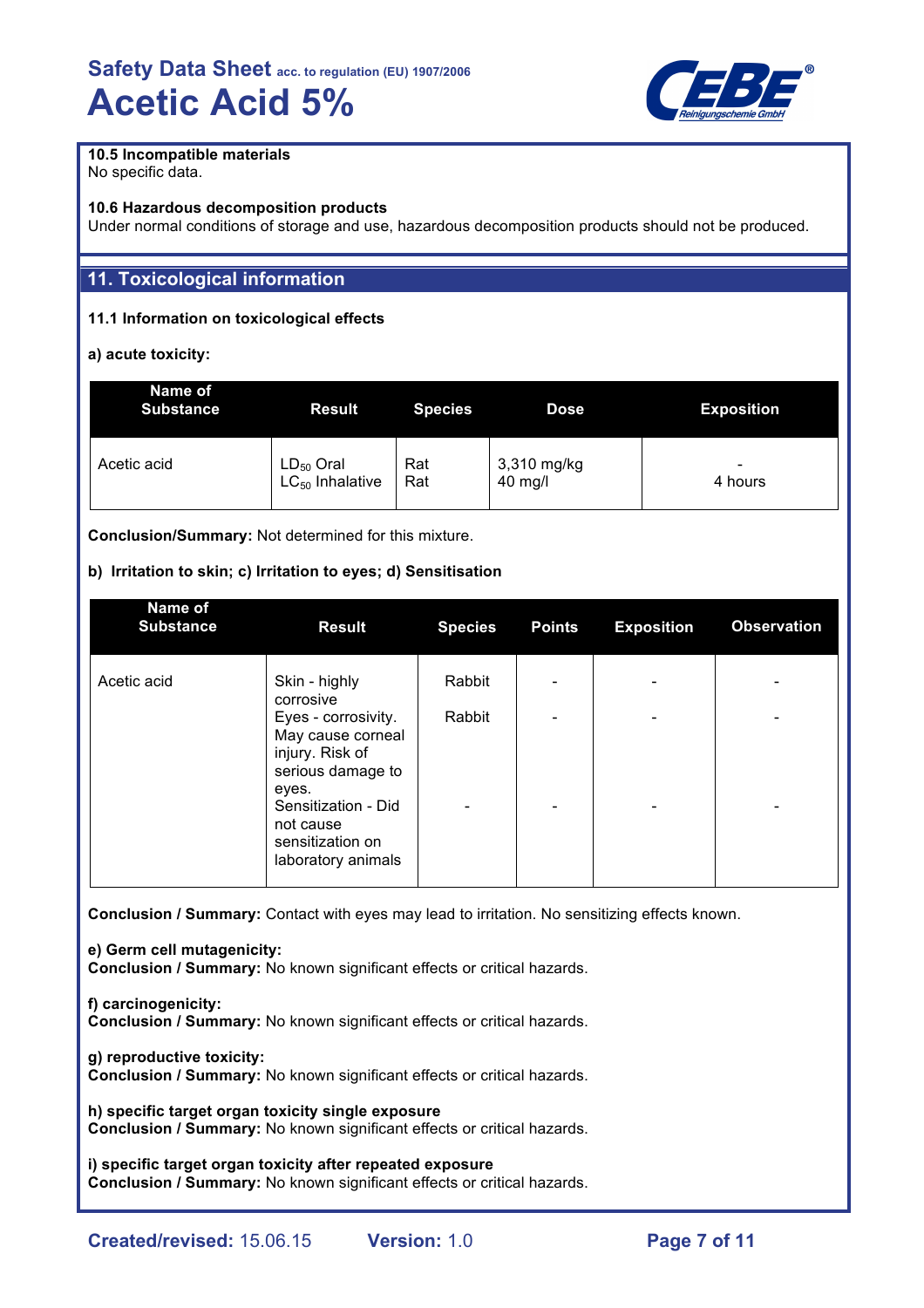

## **10.5 Incompatible materials**

No specific data.

### **10.6 Hazardous decomposition products**

Under normal conditions of storage and use, hazardous decomposition products should not be produced.

## **11. Toxicological information**

## **11.1 Information on toxicological effects**

## **a) acute toxicity:**

| Name of<br><b>Substance</b> | <b>Result</b>        | <b>Species</b> | <b>Dose</b> | <b>Exposition</b> |
|-----------------------------|----------------------|----------------|-------------|-------------------|
| Acetic acid                 | $LD_{50}$ Oral       | Rat            | 3,310 mg/kg | -                 |
|                             | $LC_{50}$ Inhalative | Rat            | 40 mg/l     | 4 hours           |

**Conclusion/Summary:** Not determined for this mixture.

## **b) Irritation to skin; c) Irritation to eyes; d) Sensitisation**

| Name of<br><b>Substance</b> | <b>Result</b>                                                                                                                                                           | <b>Species</b> | <b>Points</b> | <b>Exposition</b> | <b>Observation</b>            |
|-----------------------------|-------------------------------------------------------------------------------------------------------------------------------------------------------------------------|----------------|---------------|-------------------|-------------------------------|
| Acetic acid                 | Skin - highly<br>corrosive                                                                                                                                              | Rabbit         |               |                   |                               |
|                             | Eyes - corrosivity.<br>May cause corneal<br>injury. Risk of<br>serious damage to<br>eyes.<br>Sensitization - Did<br>not cause<br>sensitization on<br>laboratory animals | Rabbit         |               |                   | -<br>$\overline{\phantom{0}}$ |

**Conclusion / Summary:** Contact with eyes may lead to irritation. No sensitizing effects known.

**e) Germ cell mutagenicity: Conclusion / Summary:** No known significant effects or critical hazards.

**f) carcinogenicity: Conclusion / Summary:** No known significant effects or critical hazards.

**g) reproductive toxicity: Conclusion / Summary:** No known significant effects or critical hazards.

**h) specific target organ toxicity single exposure Conclusion / Summary:** No known significant effects or critical hazards.

**i) specific target organ toxicity after repeated exposure Conclusion / Summary:** No known significant effects or critical hazards.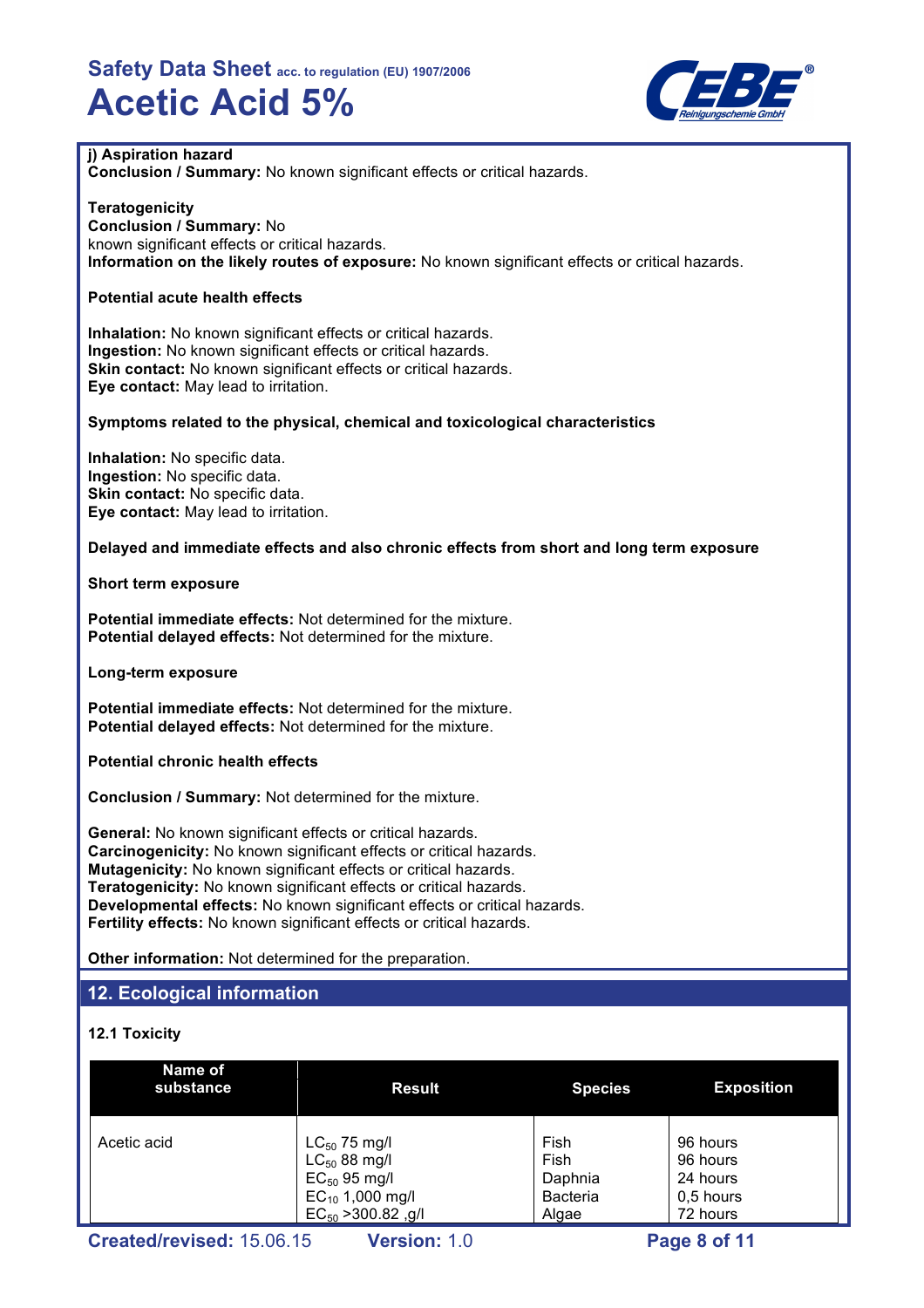

## **j) Aspiration hazard**

**Conclusion / Summary:** No known significant effects or critical hazards.

### **Teratogenicity**

**Conclusion / Summary:** No known significant effects or critical hazards. **Information on the likely routes of exposure:** No known significant effects or critical hazards.

## **Potential acute health effects**

**Inhalation:** No known significant effects or critical hazards. **Ingestion:** No known significant effects or critical hazards. **Skin contact:** No known significant effects or critical hazards. **Eye contact:** May lead to irritation.

### **Symptoms related to the physical, chemical and toxicological characteristics**

**Inhalation:** No specific data. **Ingestion:** No specific data. **Skin contact:** No specific data. **Eye contact:** May lead to irritation.

### **Delayed and immediate effects and also chronic effects from short and long term exposure**

**Short term exposure**

**Potential immediate effects:** Not determined for the mixture. **Potential delayed effects:** Not determined for the mixture.

**Long-term exposure**

**Potential immediate effects:** Not determined for the mixture. **Potential delayed effects:** Not determined for the mixture.

**Potential chronic health effects**

**Conclusion / Summary:** Not determined for the mixture.

**General:** No known significant effects or critical hazards. **Carcinogenicity:** No known significant effects or critical hazards. **Mutagenicity:** No known significant effects or critical hazards. **Teratogenicity:** No known significant effects or critical hazards. **Developmental effects:** No known significant effects or critical hazards. **Fertility effects:** No known significant effects or critical hazards.

**Other information:** Not determined for the preparation.

## **12. Ecological information**

## **12.1 Toxicity**

| Name of<br>substance | <b>Result</b>           | <b>Species</b>  | <b>Exposition</b> |
|----------------------|-------------------------|-----------------|-------------------|
| Acetic acid          | $LC_{50}$ 75 mg/l       | Fish            | 96 hours          |
|                      | $LC_{50}$ 88 mg/l       | Fish            | 96 hours          |
|                      | $EC_{50}$ 95 mg/l       | Daphnia         | 24 hours          |
|                      | $EC_{10}$ 1,000 mg/l    | <b>Bacteria</b> | 0,5 hours         |
|                      | $EC_{50}$ > 300.82, g/l | Algae           | 72 hours          |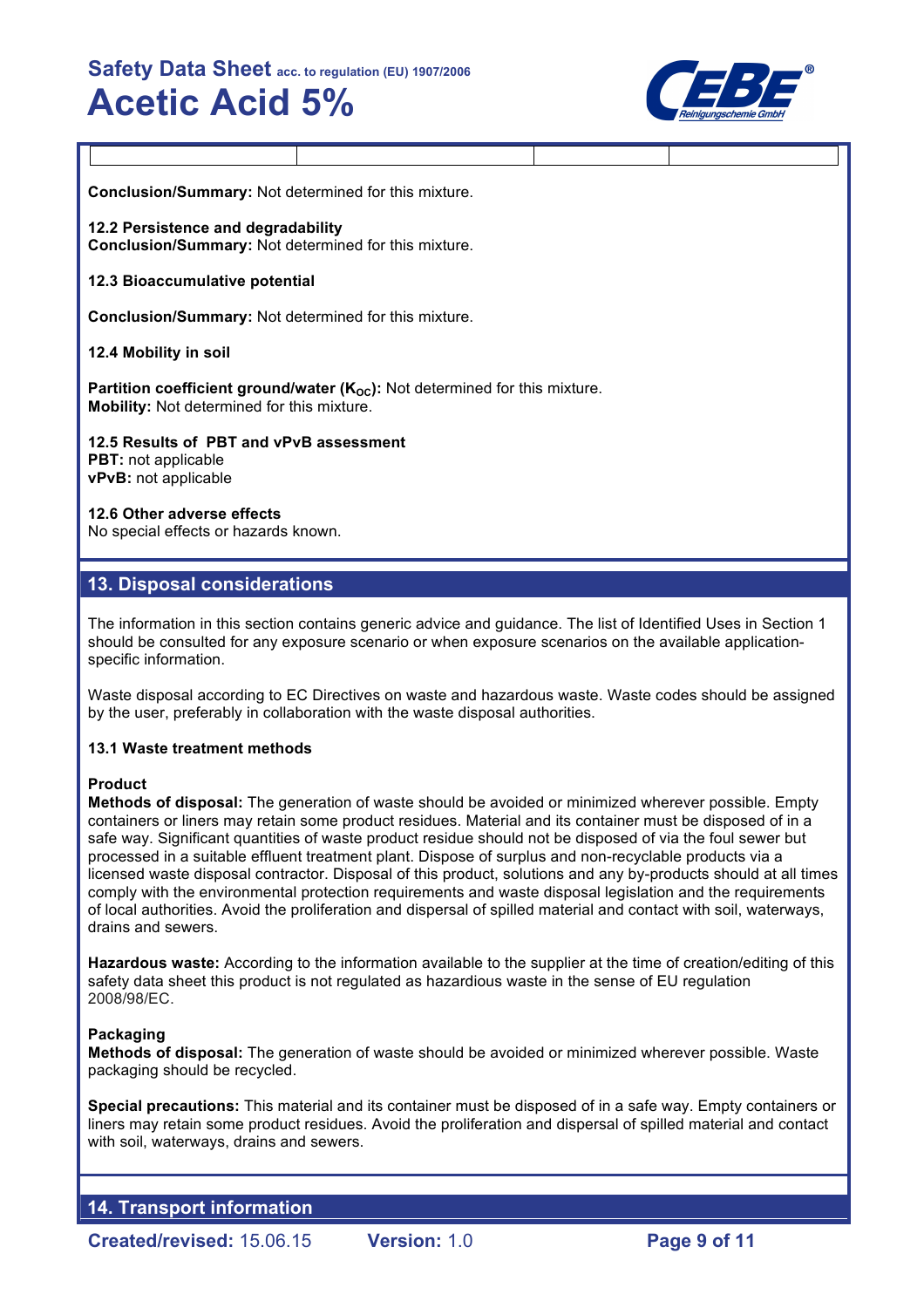

**Conclusion/Summary:** Not determined for this mixture.

**12.2 Persistence and degradability Conclusion/Summary:** Not determined for this mixture.

### **12.3 Bioaccumulative potential**

**Conclusion/Summary:** Not determined for this mixture.

### **12.4 Mobility in soil**

**Partition coefficient ground/water (K<sub>OC</sub>):** Not determined for this mixture. **Mobility:** Not determined for this mixture.

**12.5 Results of PBT and vPvB assessment PBT:** not applicable **vPvB:** not applicable

#### **12.6 Other adverse effects**

No special effects or hazards known.

## **13. Disposal considerations**

The information in this section contains generic advice and guidance. The list of Identified Uses in Section 1 should be consulted for any exposure scenario or when exposure scenarios on the available applicationspecific information.

Waste disposal according to EC Directives on waste and hazardous waste. Waste codes should be assigned by the user, preferably in collaboration with the waste disposal authorities.

## **13.1 Waste treatment methods**

#### **Product**

**Methods of disposal:** The generation of waste should be avoided or minimized wherever possible. Empty containers or liners may retain some product residues. Material and its container must be disposed of in a safe way. Significant quantities of waste product residue should not be disposed of via the foul sewer but processed in a suitable effluent treatment plant. Dispose of surplus and non-recyclable products via a licensed waste disposal contractor. Disposal of this product, solutions and any by-products should at all times comply with the environmental protection requirements and waste disposal legislation and the requirements of local authorities. Avoid the proliferation and dispersal of spilled material and contact with soil, waterways, drains and sewers.

**Hazardous waste:** According to the information available to the supplier at the time of creation/editing of this safety data sheet this product is not regulated as hazardious waste in the sense of EU regulation 2008/98/EC.

## **Packaging**

**Methods of disposal:** The generation of waste should be avoided or minimized wherever possible. Waste packaging should be recycled.

**Special precautions:** This material and its container must be disposed of in a safe way. Empty containers or liners may retain some product residues. Avoid the proliferation and dispersal of spilled material and contact with soil, waterways, drains and sewers.

**14. Transport information**

**Created/revised:** 15.06.15 **Version:** 1.0 **Page 9 of 11**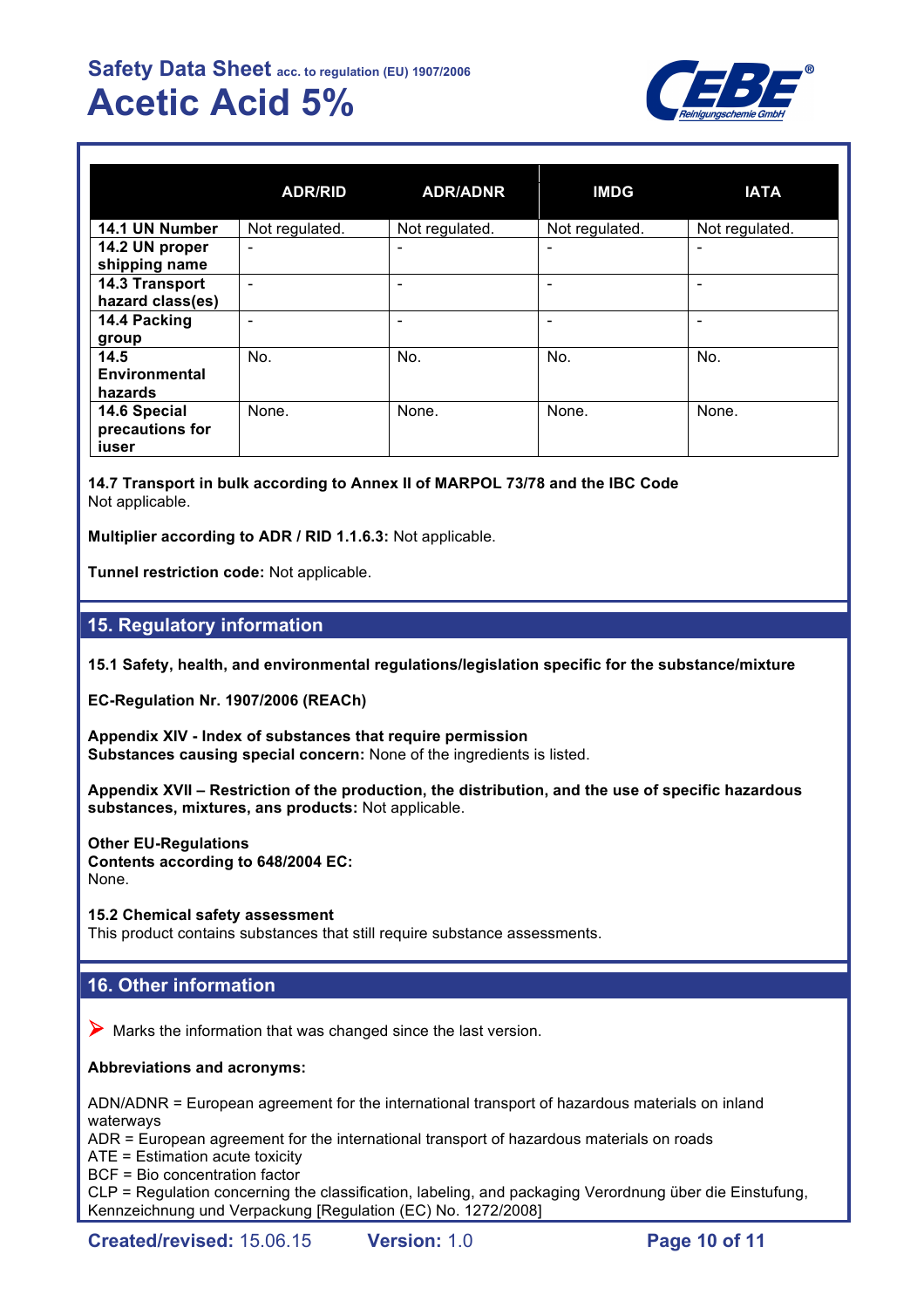

|                                          | <b>ADR/RID</b> | <b>ADR/ADNR</b>          | <b>IMDG</b>              | <b>IATA</b>                  |
|------------------------------------------|----------------|--------------------------|--------------------------|------------------------------|
| 14.1 UN Number                           | Not regulated. | Not regulated.           | Not regulated.           | Not regulated.               |
| 14.2 UN proper<br>shipping name          | -              | $\overline{\phantom{0}}$ |                          | $\qquad \qquad \blacksquare$ |
| 14.3 Transport<br>hazard class(es)       | -              | -                        |                          | -                            |
| 14.4 Packing<br>group                    |                | -                        | $\overline{\phantom{0}}$ | $\overline{\phantom{a}}$     |
| 14.5<br>Environmental<br>hazards         | No.            | No.                      | No.                      | No.                          |
| 14.6 Special<br>precautions for<br>iuser | None.          | None.                    | None.                    | None.                        |

**14.7 Transport in bulk according to Annex II of MARPOL 73/78 and the IBC Code** Not applicable.

**Multiplier according to ADR / RID 1.1.6.3:** Not applicable.

**Tunnel restriction code:** Not applicable.

## **15. Regulatory information**

**15.1 Safety, health, and environmental regulations/legislation specific for the substance/mixture**

**EC-Regulation Nr. 1907/2006 (REACh)**

**Appendix XIV - Index of substances that require permission Substances causing special concern:** None of the ingredients is listed.

**Appendix XVII – Restriction of the production, the distribution, and the use of specific hazardous substances, mixtures, ans products:** Not applicable.

**Other EU-Regulations Contents according to 648/2004 EC:** None.

**15.2 Chemical safety assessment** This product contains substances that still require substance assessments.

# **16. Other information**

 $\triangleright$  Marks the information that was changed since the last version.

**Abbreviations and acronyms:**

ADN/ADNR = European agreement for the international transport of hazardous materials on inland waterways

ADR = European agreement for the international transport of hazardous materials on roads

ATE = Estimation acute toxicity

BCF = Bio concentration factor

CLP = Regulation concerning the classification, labeling, and packaging Verordnung über die Einstufung, Kennzeichnung und Verpackung [Regulation (EC) No. 1272/2008]